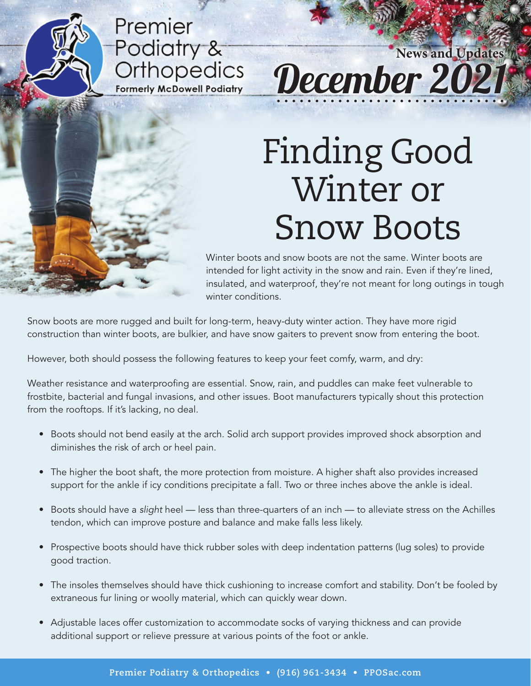

Premier Podiatry & **Orthopedics Formerly McDowell Podiatry** 

## Finding Good Winter or Snow Boots

December 202

**News and Updates**

Winter boots and snow boots are not the same. Winter boots are intended for light activity in the snow and rain. Even if they're lined, insulated, and waterproof, they're not meant for long outings in tough winter conditions.

Snow boots are more rugged and built for long-term, heavy-duty winter action. They have more rigid construction than winter boots, are bulkier, and have snow gaiters to prevent snow from entering the boot.

However, both should possess the following features to keep your feet comfy, warm, and dry:

Weather resistance and waterproofing are essential. Snow, rain, and puddles can make feet vulnerable to frostbite, bacterial and fungal invasions, and other issues. Boot manufacturers typically shout this protection from the rooftops. If it's lacking, no deal.

- Boots should not bend easily at the arch. Solid arch support provides improved shock absorption and diminishes the risk of arch or heel pain.
- The higher the boot shaft, the more protection from moisture. A higher shaft also provides increased support for the ankle if icy conditions precipitate a fall. Two or three inches above the ankle is ideal.
- Boots should have a *slight* heel less than three-quarters of an inch to alleviate stress on the Achilles tendon, which can improve posture and balance and make falls less likely.
- Prospective boots should have thick rubber soles with deep indentation patterns (lug soles) to provide good traction.
- The insoles themselves should have thick cushioning to increase comfort and stability. Don't be fooled by extraneous fur lining or woolly material, which can quickly wear down.
- Adjustable laces offer customization to accommodate socks of varying thickness and can provide additional support or relieve pressure at various points of the foot or ankle.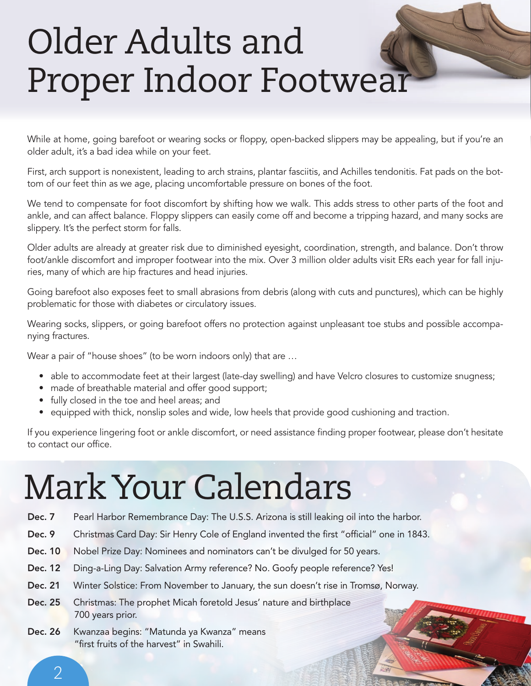# Older Adults and Proper Indoor Footwear

While at home, going barefoot or wearing socks or floppy, open-backed slippers may be appealing, but if you're an older adult, it's a bad idea while on your feet.

First, arch support is nonexistent, leading to arch strains, plantar fasciitis, and Achilles tendonitis. Fat pads on the bottom of our feet thin as we age, placing uncomfortable pressure on bones of the foot.

We tend to compensate for foot discomfort by shifting how we walk. This adds stress to other parts of the foot and ankle, and can affect balance. Floppy slippers can easily come off and become a tripping hazard, and many socks are slippery. It's the perfect storm for falls.

Older adults are already at greater risk due to diminished eyesight, coordination, strength, and balance. Don't throw foot/ankle discomfort and improper footwear into the mix. Over 3 million older adults visit ERs each year for fall injuries, many of which are hip fractures and head injuries.

Going barefoot also exposes feet to small abrasions from debris (along with cuts and punctures), which can be highly problematic for those with diabetes or circulatory issues.

Wearing socks, slippers, or going barefoot offers no protection against unpleasant toe stubs and possible accompanying fractures.

Wear a pair of "house shoes" (to be worn indoors only) that are …

- able to accommodate feet at their largest (late-day swelling) and have Velcro closures to customize snugness;
- made of breathable material and offer good support;
- fully closed in the toe and heel areas; and
- equipped with thick, nonslip soles and wide, low heels that provide good cushioning and traction.

If you experience lingering foot or ankle discomfort, or need assistance finding proper footwear, please don't hesitate to contact our office.

### Mark Your Calendars

- Dec. 7 Pearl Harbor Remembrance Day: The U.S.S. Arizona is still leaking oil into the harbor.
- Dec. 9 Christmas Card Day: Sir Henry Cole of England invented the first "official" one in 1843.
- Dec. 10 Nobel Prize Day: Nominees and nominators can't be divulged for 50 years.
- Dec. 12 Ding-a-Ling Day: Salvation Army reference? No. Goofy people reference? Yes!
- Dec. 21 Winter Solstice: From November to January, the sun doesn't rise in Tromsø, Norway.
- Dec. 25 Christmas: The prophet Micah foretold Jesus' nature and birthplace 700 years prior.
- Dec. 26 Kwanzaa begins: "Matunda ya Kwanza" means "first fruits of the harvest" in Swahili.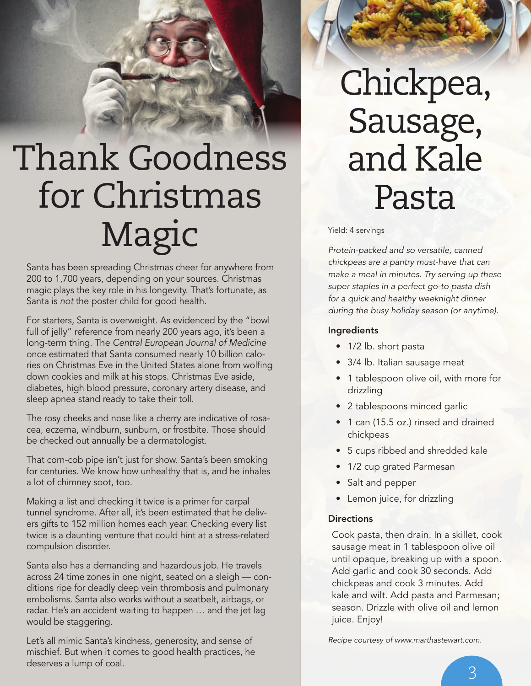### Thank Goodness for Christmas Magic Yield: 4 servings

Santa has been spreading Christmas cheer for anywhere from 200 to 1,700 years, depending on your sources. Christmas magic plays the key role in his longevity. That's fortunate, as Santa is *not* the poster child for good health.

For starters, Santa is overweight. As evidenced by the "bowl full of jelly" reference from nearly 200 years ago, it's been a long-term thing. The *Central European Journal of Medicine*  once estimated that Santa consumed nearly 10 billion calories on Christmas Eve in the United States alone from wolfing down cookies and milk at his stops. Christmas Eve aside, diabetes, high blood pressure, coronary artery disease, and sleep apnea stand ready to take their toll.

The rosy cheeks and nose like a cherry are indicative of rosacea, eczema, windburn, sunburn, or frostbite. Those should be checked out annually be a dermatologist.

That corn-cob pipe isn't just for show. Santa's been smoking for centuries. We know how unhealthy that is, and he inhales a lot of chimney soot, too.

Making a list and checking it twice is a primer for carpal tunnel syndrome. After all, it's been estimated that he delivers gifts to 152 million homes each year. Checking every list twice is a daunting venture that could hint at a stress-related compulsion disorder.

Santa also has a demanding and hazardous job. He travels across 24 time zones in one night, seated on a sleigh — conditions ripe for deadly deep vein thrombosis and pulmonary embolisms. Santa also works without a seatbelt, airbags, or radar. He's an accident waiting to happen … and the jet lag would be staggering.

Let's all mimic Santa's kindness, generosity, and sense of mischief. But when it comes to good health practices, he deserves a lump of coal.

### Chickpea, Sausage, and Kale Pasta

*Protein-packed and so versatile, canned chickpeas are a pantry must-have that can make a meal in minutes. Try serving up these super staples in a perfect go-to pasta dish for a quick and healthy weeknight dinner during the busy holiday season (or anytime).*

#### Ingredients

- 1/2 lb. short pasta
- 3/4 lb. Italian sausage meat
- 1 tablespoon olive oil, with more for drizzling
- 2 tablespoons minced garlic
- 1 can (15.5 oz.) rinsed and drained chickpeas
- 5 cups ribbed and shredded kale
- 1/2 cup grated Parmesan
- Salt and pepper
- Lemon juice, for drizzling

#### **Directions**

Cook pasta, then drain. In a skillet, cook sausage meat in 1 tablespoon olive oil until opaque, breaking up with a spoon. Add garlic and cook 30 seconds. Add chickpeas and cook 3 minutes. Add kale and wilt. Add pasta and Parmesan; season. Drizzle with olive oil and lemon juice. Enjoy!

*Recipe courtesy of www.marthastewart.com.*